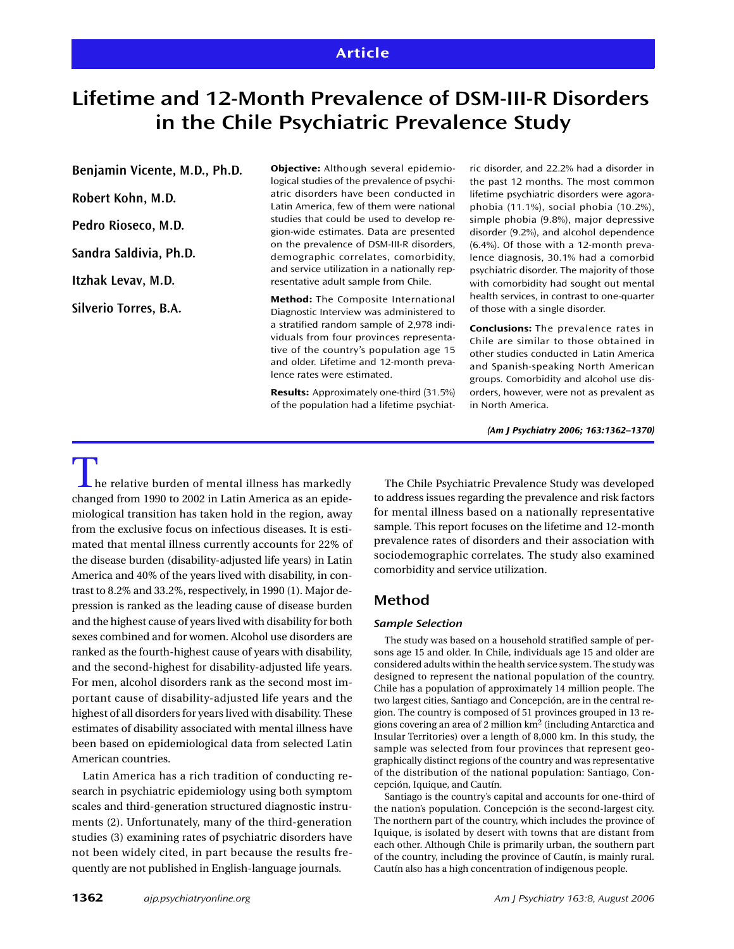# **Lifetime and 12-Month Prevalence of DSM-III-R Disorders in the Chile Psychiatric Prevalence Study**

**Benjamin Vicente, M.D., Ph.D. Robert Kohn, M.D. Pedro Rioseco, M.D. Sandra Saldivia, Ph.D. Itzhak Levav, M.D.**

**Silverio Torres, B.A.**

**Objective:** Although several epidemiological studies of the prevalence of psychiatric disorders have been conducted in Latin America, few of them were national studies that could be used to develop region-wide estimates. Data are presented on the prevalence of DSM-III-R disorders, demographic correlates, comorbidity, and service utilization in a nationally representative adult sample from Chile.

**Method:** The Composite International Diagnostic Interview was administered to a stratified random sample of 2,978 individuals from four provinces representative of the country's population age 15 and older. Lifetime and 12-month prevalence rates were estimated.

**Results:** Approximately one-third (31.5%) of the population had a lifetime psychiatric disorder, and 22.2% had a disorder in the past 12 months. The most common lifetime psychiatric disorders were agoraphobia (11.1%), social phobia (10.2%), simple phobia (9.8%), major depressive disorder (9.2%), and alcohol dependence (6.4%). Of those with a 12-month prevalence diagnosis, 30.1% had a comorbid psychiatric disorder. The majority of those with comorbidity had sought out mental health services, in contrast to one-quarter of those with a single disorder.

**Conclusions:** The prevalence rates in Chile are similar to those obtained in other studies conducted in Latin America and Spanish-speaking North American groups. Comorbidity and alcohol use disorders, however, were not as prevalent as in North America.

*(Am J Psychiatry 2006; 163:1362–1370)*

 $\blacksquare$  he relative burden of mental illness has markedly changed from 1990 to 2002 in Latin America as an epidemiological transition has taken hold in the region, away from the exclusive focus on infectious diseases. It is estimated that mental illness currently accounts for 22% of the disease burden (disability-adjusted life years) in Latin America and 40% of the years lived with disability, in contrast to 8.2% and 33.2%, respectively, in 1990 (1). Major depression is ranked as the leading cause of disease burden and the highest cause of years lived with disability for both sexes combined and for women. Alcohol use disorders are ranked as the fourth-highest cause of years with disability, and the second-highest for disability-adjusted life years. For men, alcohol disorders rank as the second most important cause of disability-adjusted life years and the highest of all disorders for years lived with disability. These estimates of disability associated with mental illness have been based on epidemiological data from selected Latin American countries.

Latin America has a rich tradition of conducting research in psychiatric epidemiology using both symptom scales and third-generation structured diagnostic instruments (2). Unfortunately, many of the third-generation studies (3) examining rates of psychiatric disorders have not been widely cited, in part because the results frequently are not published in English-language journals.

The Chile Psychiatric Prevalence Study was developed to address issues regarding the prevalence and risk factors for mental illness based on a nationally representative sample. This report focuses on the lifetime and 12-month prevalence rates of disorders and their association with sociodemographic correlates. The study also examined comorbidity and service utilization.

# **Method**

### *Sample Selection*

The study was based on a household stratified sample of persons age 15 and older. In Chile, individuals age 15 and older are considered adults within the health service system. The study was designed to represent the national population of the country. Chile has a population of approximately 14 million people. The two largest cities, Santiago and Concepción, are in the central region. The country is composed of 51 provinces grouped in 13 regions covering an area of 2 million km2 (including Antarctica and Insular Territories) over a length of 8,000 km. In this study, the sample was selected from four provinces that represent geographically distinct regions of the country and was representative of the distribution of the national population: Santiago, Concepción, Iquique, and Cautín.

Santiago is the country's capital and accounts for one-third of the nation's population. Concepción is the second-largest city. The northern part of the country, which includes the province of Iquique, is isolated by desert with towns that are distant from each other. Although Chile is primarily urban, the southern part of the country, including the province of Cautín, is mainly rural. Cautín also has a high concentration of indigenous people.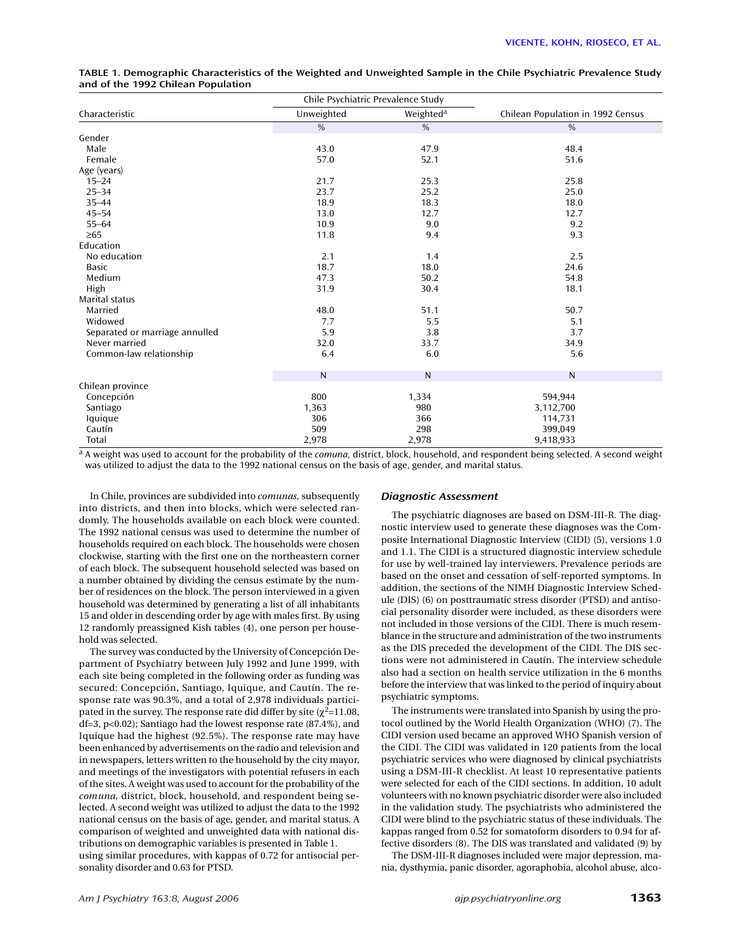|                                | Chile Psychiatric Prevalence Study |                       |                                   |
|--------------------------------|------------------------------------|-----------------------|-----------------------------------|
| Characteristic                 | Unweighted                         | Weighted <sup>a</sup> | Chilean Population in 1992 Census |
|                                | $\frac{0}{0}$                      | $\frac{0}{0}$         | $\frac{0}{0}$                     |
| Gender                         |                                    |                       |                                   |
| Male                           | 43.0                               | 47.9                  | 48.4                              |
| Female                         | 57.0                               | 52.1                  | 51.6                              |
| Age (years)                    |                                    |                       |                                   |
| $15 - 24$                      | 21.7                               | 25.3                  | 25.8                              |
| $25 - 34$                      | 23.7                               | 25.2                  | 25.0                              |
| $35 - 44$                      | 18.9                               | 18.3                  | 18.0                              |
| $45 - 54$                      | 13.0                               | 12.7                  | 12.7                              |
| $55 - 64$                      | 10.9                               | 9.0                   | 9.2                               |
| $\geq 65$                      | 11.8                               | 9.4                   | 9.3                               |
| Education                      |                                    |                       |                                   |
| No education                   | 2.1                                | 1.4                   | 2.5                               |
| <b>Basic</b>                   | 18.7                               | 18.0                  | 24.6                              |
| Medium                         | 47.3                               | 50.2                  | 54.8                              |
| High                           | 31.9                               | 30.4                  | 18.1                              |
| Marital status                 |                                    |                       |                                   |
| Married                        | 48.0                               | 51.1                  | 50.7                              |
| Widowed                        | 7.7                                | 5.5                   | 5.1                               |
| Separated or marriage annulled | 5.9                                | 3.8                   | 3.7                               |
| Never married                  | 32.0                               | 33.7                  | 34.9                              |
| Common-law relationship        | 6.4                                | 6.0                   | 5.6                               |
|                                | $\overline{N}$                     | $\mathsf N$           | $\mathsf{N}$                      |
| Chilean province               |                                    |                       |                                   |
| Concepción                     | 800                                | 1,334                 | 594,944                           |
| Santiago                       | 1,363                              | 980                   | 3,112,700                         |
| Iquique                        | 306                                | 366                   | 114,731                           |
| Cautín                         | 509                                | 298                   | 399,049                           |
| Total                          | 2,978                              | 2,978                 | 9,418,933                         |

| TABLE 1. Demographic Characteristics of the Weighted and Unweighted Sample in the Chile Psychiatric Prevalence Study |  |  |
|----------------------------------------------------------------------------------------------------------------------|--|--|
| and of the 1992 Chilean Population                                                                                   |  |  |

 $\frac{a}{a}$  A weight was used to account for the probability of the *comuna*, district, block, household, and respondent being selected. A second weight was utilized to adjust the data to the 1992 national census on the basis of age, gender, and marital status.

In Chile, provinces are subdivided into *comunas,* subsequently into districts, and then into blocks, which were selected randomly. The households available on each block were counted. The 1992 national census was used to determine the number of households required on each block. The households were chosen clockwise, starting with the first one on the northeastern corner of each block. The subsequent household selected was based on a number obtained by dividing the census estimate by the number of residences on the block. The person interviewed in a given household was determined by generating a list of all inhabitants 15 and older in descending order by age with males first. By using 12 randomly preassigned Kish tables (4), one person per household was selected.

The survey was conducted by the University of Concepción Department of Psychiatry between July 1992 and June 1999, with each site being completed in the following order as funding was secured: Concepción, Santiago, Iquique, and Cautín. The response rate was 90.3%, and a total of 2,978 individuals participated in the survey. The response rate did differ by site ( $\chi^2$ =11.08, df=3, p<0.02); Santiago had the lowest response rate (87.4%), and Iquique had the highest (92.5%). The response rate may have been enhanced by advertisements on the radio and television and in newspapers, letters written to the household by the city mayor, and meetings of the investigators with potential refusers in each of the sites. A weight was used to account for the probability of the *comuna,* district, block, household, and respondent being selected. A second weight was utilized to adjust the data to the 1992 national census on the basis of age, gender, and marital status. A comparison of weighted and unweighted data with national distributions on demographic variables is presented in Table 1. using similar procedures, with kappas of 0.72 for antisocial personality disorder and 0.63 for PTSD.

#### *Diagnostic Assessment*

The psychiatric diagnoses are based on DSM-III-R. The diagnostic interview used to generate these diagnoses was the Composite International Diagnostic Interview (CIDI) (5), versions 1.0 and 1.1. The CIDI is a structured diagnostic interview schedule for use by well-trained lay interviewers. Prevalence periods are based on the onset and cessation of self-reported symptoms. In addition, the sections of the NIMH Diagnostic Interview Schedule (DIS) (6) on posttraumatic stress disorder (PTSD) and antisocial personality disorder were included, as these disorders were not included in those versions of the CIDI. There is much resemblance in the structure and administration of the two instruments as the DIS preceded the development of the CIDI. The DIS sections were not administered in Cautín. The interview schedule also had a section on health service utilization in the 6 months before the interview that was linked to the period of inquiry about psychiatric symptoms.

The instruments were translated into Spanish by using the protocol outlined by the World Health Organization (WHO) (7). The CIDI version used became an approved WHO Spanish version of the CIDI. The CIDI was validated in 120 patients from the local psychiatric services who were diagnosed by clinical psychiatrists using a DSM-III-R checklist. At least 10 representative patients were selected for each of the CIDI sections. In addition, 10 adult volunteers with no known psychiatric disorder were also included in the validation study. The psychiatrists who administered the CIDI were blind to the psychiatric status of these individuals. The kappas ranged from 0.52 for somatoform disorders to 0.94 for affective disorders (8). The DIS was translated and validated (9) by

The DSM-III-R diagnoses included were major depression, mania, dysthymia, panic disorder, agoraphobia, alcohol abuse, alco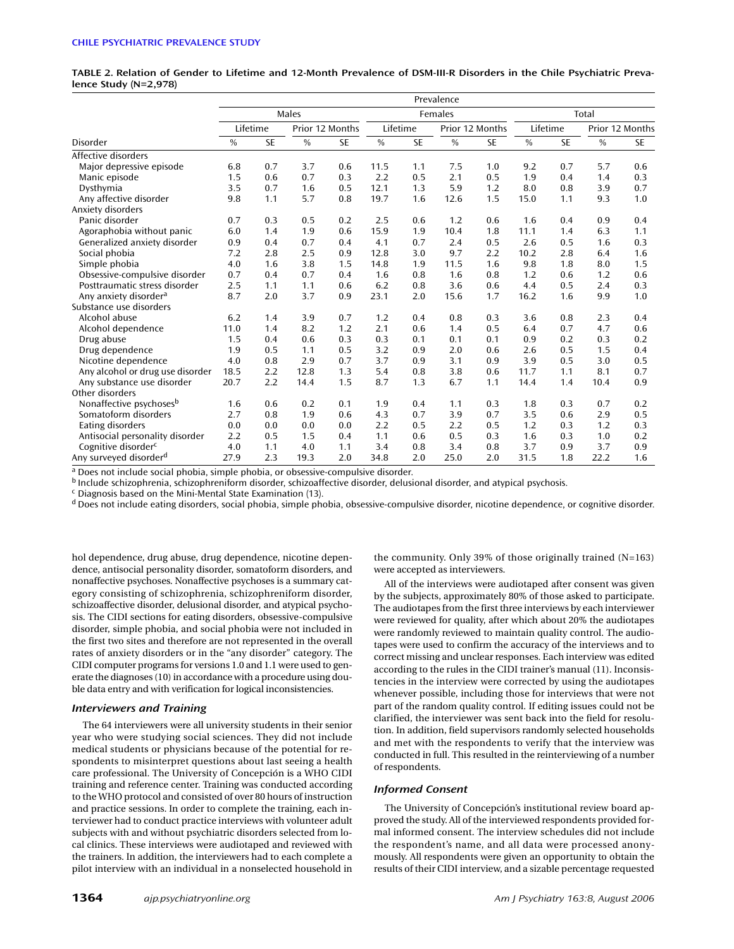**TABLE 2. Relation of Gender to Lifetime and 12-Month Prevalence of DSM-III-R Disorders in the Chile Psychiatric Prevalence Study (N=2,978)**

|                                     |               |           |      |                 |      |           | Prevalence |                 |      |           |      |                 |
|-------------------------------------|---------------|-----------|------|-----------------|------|-----------|------------|-----------------|------|-----------|------|-----------------|
|                                     | Males         |           |      |                 |      | Females   |            |                 |      | Total     |      |                 |
|                                     |               | Lifetime  |      | Prior 12 Months |      | Lifetime  |            | Prior 12 Months |      | Lifetime  |      | Prior 12 Months |
| Disorder                            | $\frac{0}{0}$ | <b>SE</b> | $\%$ | <b>SE</b>       | $\%$ | <b>SE</b> | $\%$       | <b>SE</b>       | $\%$ | <b>SE</b> | $\%$ | <b>SE</b>       |
| Affective disorders                 |               |           |      |                 |      |           |            |                 |      |           |      |                 |
| Major depressive episode            | 6.8           | 0.7       | 3.7  | 0.6             | 11.5 | 1.1       | 7.5        | 1.0             | 9.2  | 0.7       | 5.7  | 0.6             |
| Manic episode                       | 1.5           | 0.6       | 0.7  | 0.3             | 2.2  | 0.5       | 2.1        | 0.5             | 1.9  | 0.4       | 1.4  | 0.3             |
| Dysthymia                           | 3.5           | 0.7       | 1.6  | 0.5             | 12.1 | 1.3       | 5.9        | 1.2             | 8.0  | 0.8       | 3.9  | 0.7             |
| Any affective disorder              | 9.8           | 1.1       | 5.7  | 0.8             | 19.7 | 1.6       | 12.6       | 1.5             | 15.0 | 1.1       | 9.3  | 1.0             |
| Anxiety disorders                   |               |           |      |                 |      |           |            |                 |      |           |      |                 |
| Panic disorder                      | 0.7           | 0.3       | 0.5  | 0.2             | 2.5  | 0.6       | 1.2        | 0.6             | 1.6  | 0.4       | 0.9  | 0.4             |
| Agoraphobia without panic           | 6.0           | 1.4       | 1.9  | 0.6             | 15.9 | 1.9       | 10.4       | 1.8             | 11.1 | 1.4       | 6.3  | 1.1             |
| Generalized anxiety disorder        | 0.9           | 0.4       | 0.7  | 0.4             | 4.1  | 0.7       | 2.4        | 0.5             | 2.6  | 0.5       | 1.6  | 0.3             |
| Social phobia                       | 7.2           | 2.8       | 2.5  | 0.9             | 12.8 | 3.0       | 9.7        | 2.2             | 10.2 | 2.8       | 6.4  | 1.6             |
| Simple phobia                       | 4.0           | 1.6       | 3.8  | 1.5             | 14.8 | 1.9       | 11.5       | 1.6             | 9.8  | 1.8       | 8.0  | 1.5             |
| Obsessive-compulsive disorder       | 0.7           | 0.4       | 0.7  | 0.4             | 1.6  | 0.8       | 1.6        | 0.8             | 1.2  | 0.6       | 1.2  | 0.6             |
| Posttraumatic stress disorder       | 2.5           | 1.1       | 1.1  | 0.6             | 6.2  | 0.8       | 3.6        | 0.6             | 4.4  | 0.5       | 2.4  | 0.3             |
| Any anxiety disorder <sup>a</sup>   | 8.7           | 2.0       | 3.7  | 0.9             | 23.1 | 2.0       | 15.6       | 1.7             | 16.2 | 1.6       | 9.9  | 1.0             |
| Substance use disorders             |               |           |      |                 |      |           |            |                 |      |           |      |                 |
| Alcohol abuse                       | 6.2           | 1.4       | 3.9  | 0.7             | 1.2  | 0.4       | 0.8        | 0.3             | 3.6  | 0.8       | 2.3  | 0.4             |
| Alcohol dependence                  | 11.0          | 1.4       | 8.2  | 1.2             | 2.1  | 0.6       | 1.4        | 0.5             | 6.4  | 0.7       | 4.7  | 0.6             |
| Drug abuse                          | 1.5           | 0.4       | 0.6  | 0.3             | 0.3  | 0.1       | 0.1        | 0.1             | 0.9  | 0.2       | 0.3  | 0.2             |
| Drug dependence                     | 1.9           | 0.5       | 1.1  | 0.5             | 3.2  | 0.9       | 2.0        | 0.6             | 2.6  | 0.5       | 1.5  | 0.4             |
| Nicotine dependence                 | 4.0           | 0.8       | 2.9  | 0.7             | 3.7  | 0.9       | 3.1        | 0.9             | 3.9  | 0.5       | 3.0  | 0.5             |
| Any alcohol or drug use disorder    | 18.5          | 2.2       | 12.8 | 1.3             | 5.4  | 0.8       | 3.8        | 0.6             | 11.7 | 1.1       | 8.1  | 0.7             |
| Any substance use disorder          | 20.7          | 2.2       | 14.4 | 1.5             | 8.7  | 1.3       | 6.7        | 1.1             | 14.4 | 1.4       | 10.4 | 0.9             |
| Other disorders                     |               |           |      |                 |      |           |            |                 |      |           |      |                 |
| Nonaffective psychoses <sup>b</sup> | 1.6           | 0.6       | 0.2  | 0.1             | 1.9  | 0.4       | 1.1        | 0.3             | 1.8  | 0.3       | 0.7  | 0.2             |
| Somatoform disorders                | 2.7           | 0.8       | 1.9  | 0.6             | 4.3  | 0.7       | 3.9        | 0.7             | 3.5  | 0.6       | 2.9  | 0.5             |
| Eating disorders                    | 0.0           | 0.0       | 0.0  | 0.0             | 2.2  | 0.5       | 2.2        | 0.5             | 1.2  | 0.3       | 1.2  | 0.3             |
| Antisocial personality disorder     | 2.2           | 0.5       | 1.5  | 0.4             | 1.1  | 0.6       | 0.5        | 0.3             | 1.6  | 0.3       | 1.0  | 0.2             |
| Cognitive disorder <sup>c</sup>     | 4.0           | 1.1       | 4.0  | 1.1             | 3.4  | 0.8       | 3.4        | 0.8             | 3.7  | 0.9       | 3.7  | 0.9             |
| Any surveyed disorder <sup>d</sup>  | 27.9          | 2.3       | 19.3 | 2.0             | 34.8 | 2.0       | 25.0       | 2.0             | 31.5 | 1.8       | 22.2 | 1.6             |

<sup>a</sup> Does not include social phobia, simple phobia, or obsessive-compulsive disorder.

<sup>b</sup> Include schizophrenia, schizophreniform disorder, schizoaffective disorder, delusional disorder, and atypical psychosis.

<sup>c</sup> Diagnosis based on the Mini-Mental State Examination (13).

<sup>d</sup> Does not include eating disorders, social phobia, simple phobia, obsessive-compulsive disorder, nicotine dependence, or cognitive disorder.

hol dependence, drug abuse, drug dependence, nicotine dependence, antisocial personality disorder, somatoform disorders, and nonaffective psychoses. Nonaffective psychoses is a summary category consisting of schizophrenia, schizophreniform disorder, schizoaffective disorder, delusional disorder, and atypical psychosis. The CIDI sections for eating disorders, obsessive-compulsive disorder, simple phobia, and social phobia were not included in the first two sites and therefore are not represented in the overall rates of anxiety disorders or in the "any disorder" category. The CIDI computer programs for versions 1.0 and 1.1 were used to generate the diagnoses (10) in accordance with a procedure using double data entry and with verification for logical inconsistencies.

#### *Interviewers and Training*

The 64 interviewers were all university students in their senior year who were studying social sciences. They did not include medical students or physicians because of the potential for respondents to misinterpret questions about last seeing a health care professional. The University of Concepción is a WHO CIDI training and reference center. Training was conducted according to the WHO protocol and consisted of over 80 hours of instruction and practice sessions. In order to complete the training, each interviewer had to conduct practice interviews with volunteer adult subjects with and without psychiatric disorders selected from local clinics. These interviews were audiotaped and reviewed with the trainers. In addition, the interviewers had to each complete a pilot interview with an individual in a nonselected household in the community. Only 39% of those originally trained (N=163) were accepted as interviewers.

All of the interviews were audiotaped after consent was given by the subjects, approximately 80% of those asked to participate. The audiotapes from the first three interviews by each interviewer were reviewed for quality, after which about 20% the audiotapes were randomly reviewed to maintain quality control. The audiotapes were used to confirm the accuracy of the interviews and to correct missing and unclear responses. Each interview was edited according to the rules in the CIDI trainer's manual (11). Inconsistencies in the interview were corrected by using the audiotapes whenever possible, including those for interviews that were not part of the random quality control. If editing issues could not be clarified, the interviewer was sent back into the field for resolution. In addition, field supervisors randomly selected households and met with the respondents to verify that the interview was conducted in full. This resulted in the reinterviewing of a number of respondents.

#### *Informed Consent*

The University of Concepción's institutional review board approved the study. All of the interviewed respondents provided formal informed consent. The interview schedules did not include the respondent's name, and all data were processed anonymously. All respondents were given an opportunity to obtain the results of their CIDI interview, and a sizable percentage requested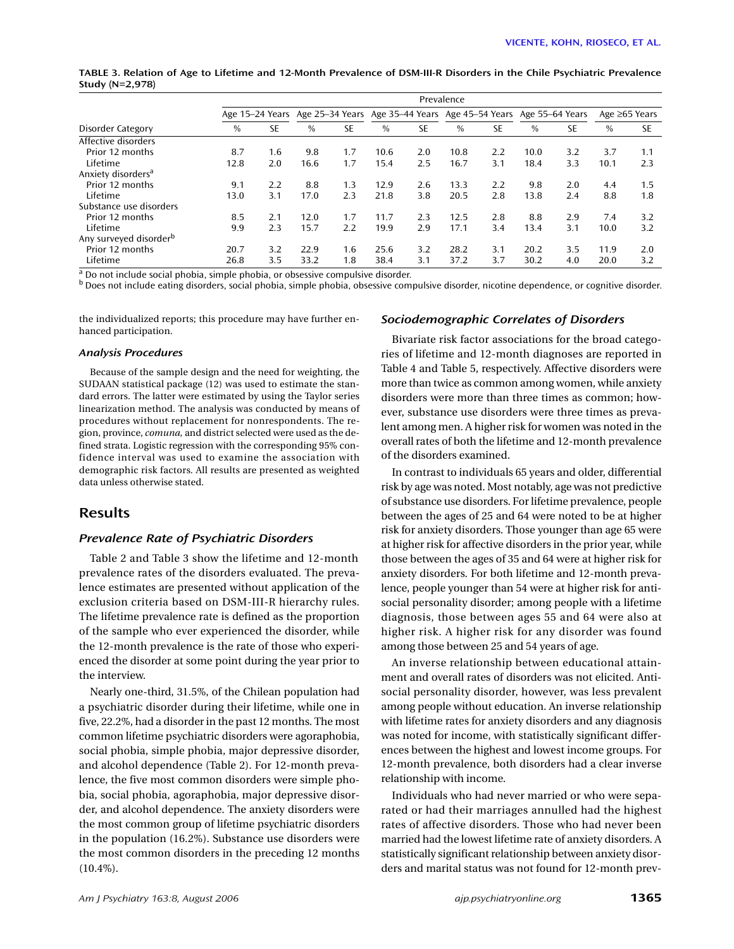**TABLE 3. Relation of Age to Lifetime and 12-Month Prevalence of DSM-III-R Disorders in the Chile Psychiatric Prevalence Study (N=2,978)**

|                                    | Prevalence |                 |      |           |      |     |                                                                 |     |      |           |      |                     |
|------------------------------------|------------|-----------------|------|-----------|------|-----|-----------------------------------------------------------------|-----|------|-----------|------|---------------------|
|                                    |            | Age 15–24 Years |      |           |      |     | Age 25–34 Years Age 35–44 Years Age 45–54 Years Age 55–64 Years |     |      |           |      | Age $\geq 65$ Years |
| Disorder Category                  | %          | SE              | $\%$ | <b>SE</b> | $\%$ | SE  | $\%$                                                            | SE  | $\%$ | <b>SE</b> | $\%$ | <b>SE</b>           |
| Affective disorders                |            |                 |      |           |      |     |                                                                 |     |      |           |      |                     |
| Prior 12 months                    | 8.7        | 1.6             | 9.8  | 1.7       | 10.6 | 2.0 | 10.8                                                            | 2.2 | 10.0 | 3.2       | 3.7  | 1.1                 |
| Lifetime                           | 12.8       | 2.0             | 16.6 | 1.7       | 15.4 | 2.5 | 16.7                                                            | 3.1 | 18.4 | 3.3       | 10.1 | 2.3                 |
| Anxiety disorders <sup>a</sup>     |            |                 |      |           |      |     |                                                                 |     |      |           |      |                     |
| Prior 12 months                    | 9.1        | 2.2             | 8.8  | 1.3       | 12.9 | 2.6 | 13.3                                                            | 2.2 | 9.8  | 2.0       | 4.4  | 1.5                 |
| Lifetime                           | 13.0       | 3.1             | 17.0 | 2.3       | 21.8 | 3.8 | 20.5                                                            | 2.8 | 13.8 | 2.4       | 8.8  | 1.8                 |
| Substance use disorders            |            |                 |      |           |      |     |                                                                 |     |      |           |      |                     |
| Prior 12 months                    | 8.5        | 2.1             | 12.0 | 1.7       | 11.7 | 2.3 | 12.5                                                            | 2.8 | 8.8  | 2.9       | 7.4  | 3.2                 |
| Lifetime                           | 9.9        | 2.3             | 15.7 | 2.2       | 19.9 | 2.9 | 17.1                                                            | 3.4 | 13.4 | 3.1       | 10.0 | 3.2                 |
| Any surveyed disorder <sup>b</sup> |            |                 |      |           |      |     |                                                                 |     |      |           |      |                     |
| Prior 12 months                    | 20.7       | 3.2             | 22.9 | 1.6       | 25.6 | 3.2 | 28.2                                                            | 3.1 | 20.2 | 3.5       | 11.9 | 2.0                 |
| Lifetime                           | 26.8       | 3.5             | 33.2 | 1.8       | 38.4 | 3.1 | 37.2                                                            | 3.7 | 30.2 | 4.0       | 20.0 | 3.2                 |

<sup>a</sup> Do not include social phobia, simple phobia, or obsessive compulsive disorder.

b Does not include eating disorders, social phobia, simple phobia, obsessive compulsive disorder, nicotine dependence, or cognitive disorder.

the individualized reports; this procedure may have further enhanced participation.

#### *Analysis Procedures*

Because of the sample design and the need for weighting, the SUDAAN statistical package (12) was used to estimate the standard errors. The latter were estimated by using the Taylor series linearization method. The analysis was conducted by means of procedures without replacement for nonrespondents. The region, province, *comuna,* and district selected were used as the defined strata. Logistic regression with the corresponding 95% confidence interval was used to examine the association with demographic risk factors. All results are presented as weighted data unless otherwise stated.

# **Results**

#### *Prevalence Rate of Psychiatric Disorders*

Table 2 and Table 3 show the lifetime and 12-month prevalence rates of the disorders evaluated. The prevalence estimates are presented without application of the exclusion criteria based on DSM-III-R hierarchy rules. The lifetime prevalence rate is defined as the proportion of the sample who ever experienced the disorder, while the 12-month prevalence is the rate of those who experienced the disorder at some point during the year prior to the interview.

Nearly one-third, 31.5%, of the Chilean population had a psychiatric disorder during their lifetime, while one in five, 22.2%, had a disorder in the past 12 months. The most common lifetime psychiatric disorders were agoraphobia, social phobia, simple phobia, major depressive disorder, and alcohol dependence (Table 2). For 12-month prevalence, the five most common disorders were simple phobia, social phobia, agoraphobia, major depressive disorder, and alcohol dependence. The anxiety disorders were the most common group of lifetime psychiatric disorders in the population (16.2%). Substance use disorders were the most common disorders in the preceding 12 months (10.4%).

#### *Sociodemographic Correlates of Disorders*

Bivariate risk factor associations for the broad categories of lifetime and 12-month diagnoses are reported in Table 4 and Table 5, respectively. Affective disorders were more than twice as common among women, while anxiety disorders were more than three times as common; however, substance use disorders were three times as prevalent among men. A higher risk for women was noted in the overall rates of both the lifetime and 12-month prevalence of the disorders examined.

In contrast to individuals 65 years and older, differential risk by age was noted. Most notably, age was not predictive of substance use disorders. For lifetime prevalence, people between the ages of 25 and 64 were noted to be at higher risk for anxiety disorders. Those younger than age 65 were at higher risk for affective disorders in the prior year, while those between the ages of 35 and 64 were at higher risk for anxiety disorders. For both lifetime and 12-month prevalence, people younger than 54 were at higher risk for antisocial personality disorder; among people with a lifetime diagnosis, those between ages 55 and 64 were also at higher risk. A higher risk for any disorder was found among those between 25 and 54 years of age.

An inverse relationship between educational attainment and overall rates of disorders was not elicited. Antisocial personality disorder, however, was less prevalent among people without education. An inverse relationship with lifetime rates for anxiety disorders and any diagnosis was noted for income, with statistically significant differences between the highest and lowest income groups. For 12-month prevalence, both disorders had a clear inverse relationship with income.

Individuals who had never married or who were separated or had their marriages annulled had the highest rates of affective disorders. Those who had never been married had the lowest lifetime rate of anxiety disorders. A statistically significant relationship between anxiety disorders and marital status was not found for 12-month prev-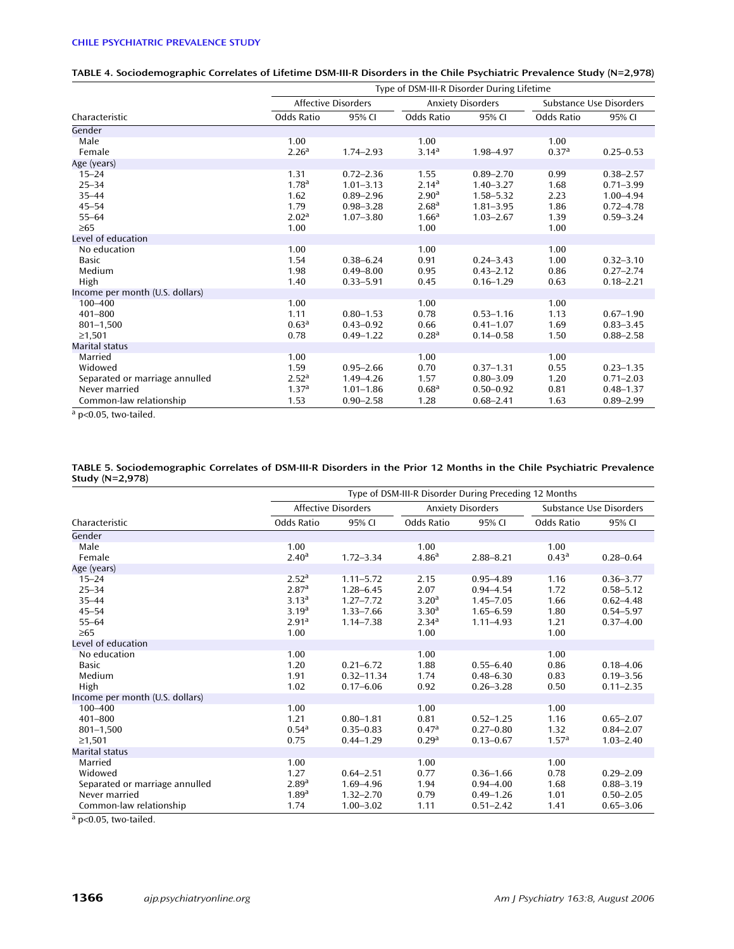# **CHILE PSYCHIATRIC PREVALENCE STUDY**

## **TABLE 4. Sociodemographic Correlates of Lifetime DSM-III-R Disorders in the Chile Psychiatric Prevalence Study (N=2,978)**

|                                 | Type of DSM-III-R Disorder During Lifetime |                     |                   |                          |                   |                         |
|---------------------------------|--------------------------------------------|---------------------|-------------------|--------------------------|-------------------|-------------------------|
|                                 |                                            | Affective Disorders |                   | <b>Anxiety Disorders</b> |                   | Substance Use Disorders |
| Characteristic                  | <b>Odds Ratio</b>                          | 95% CI              | Odds Ratio        | 95% CI                   | Odds Ratio        | 95% CI                  |
| Gender                          |                                            |                     |                   |                          |                   |                         |
| Male                            | 1.00                                       |                     | 1.00              |                          | 1.00              |                         |
| Female                          | 2.26 <sup>a</sup>                          | $1.74 - 2.93$       | 3.14 <sup>a</sup> | 1.98-4.97                | 0.37 <sup>a</sup> | $0.25 - 0.53$           |
| Age (years)                     |                                            |                     |                   |                          |                   |                         |
| $15 - 24$                       | 1.31                                       | $0.72 - 2.36$       | 1.55              | $0.89 - 2.70$            | 0.99              | $0.38 - 2.57$           |
| $25 - 34$                       | 1.78 <sup>a</sup>                          | $1.01 - 3.13$       | 2.14 <sup>a</sup> | $1.40 - 3.27$            | 1.68              | $0.71 - 3.99$           |
| $35 - 44$                       | 1.62                                       | $0.89 - 2.96$       | 2.90 <sup>a</sup> | $1.58 - 5.32$            | 2.23              | $1.00 - 4.94$           |
| $45 - 54$                       | 1.79                                       | $0.98 - 3.28$       | 2.68 <sup>a</sup> | $1.81 - 3.95$            | 1.86              | $0.72 - 4.78$           |
| $55 - 64$                       | 2.02 <sup>a</sup>                          | $1.07 - 3.80$       | 1.66 <sup>a</sup> | $1.03 - 2.67$            | 1.39              | $0.59 - 3.24$           |
| $\geq 65$                       | 1.00                                       |                     | 1.00              |                          | 1.00              |                         |
| Level of education              |                                            |                     |                   |                          |                   |                         |
| No education                    | 1.00                                       |                     | 1.00              |                          | 1.00              |                         |
| Basic                           | 1.54                                       | $0.38 - 6.24$       | 0.91              | $0.24 - 3.43$            | 1.00              | $0.32 - 3.10$           |
| Medium                          | 1.98                                       | $0.49 - 8.00$       | 0.95              | $0.43 - 2.12$            | 0.86              | $0.27 - 2.74$           |
| High                            | 1.40                                       | $0.33 - 5.91$       | 0.45              | $0.16 - 1.29$            | 0.63              | $0.18 - 2.21$           |
| Income per month (U.S. dollars) |                                            |                     |                   |                          |                   |                         |
| 100-400                         | 1.00                                       |                     | 1.00              |                          | 1.00              |                         |
| $401 - 800$                     | 1.11                                       | $0.80 - 1.53$       | 0.78              | $0.53 - 1.16$            | 1.13              | $0.67 - 1.90$           |
| $801 - 1,500$                   | 0.63 <sup>a</sup>                          | $0.43 - 0.92$       | 0.66              | $0.41 - 1.07$            | 1.69              | $0.83 - 3.45$           |
| $\geq 1,501$                    | 0.78                                       | $0.49 - 1.22$       | 0.28 <sup>a</sup> | $0.14 - 0.58$            | 1.50              | $0.88 - 2.58$           |
| <b>Marital status</b>           |                                            |                     |                   |                          |                   |                         |
| Married                         | 1.00                                       |                     | 1.00              |                          | 1.00              |                         |
| Widowed                         | 1.59                                       | $0.95 - 2.66$       | 0.70              | $0.37 - 1.31$            | 0.55              | $0.23 - 1.35$           |
| Separated or marriage annulled  | 2.52 <sup>a</sup>                          | 1.49-4.26           | 1.57              | $0.80 - 3.09$            | 1.20              | $0.71 - 2.03$           |
| Never married                   | 1.37 <sup>a</sup>                          | $1.01 - 1.86$       | 0.68 <sup>a</sup> | $0.50 - 0.92$            | 0.81              | $0.48 - 1.37$           |
| Common-law relationship         | 1.53                                       | $0.90 - 2.58$       | 1.28              | $0.68 - 2.41$            | 1.63              | $0.89 - 2.99$           |

<sup>a</sup> p<0.05, two-tailed.

#### **TABLE 5. Sociodemographic Correlates of DSM-III-R Disorders in the Prior 12 Months in the Chile Psychiatric Prevalence Study (N=2,978)**

|                                 | Type of DSM-III-R Disorder During Preceding 12 Months |                     |                   |                          |                   |                         |  |  |  |
|---------------------------------|-------------------------------------------------------|---------------------|-------------------|--------------------------|-------------------|-------------------------|--|--|--|
|                                 |                                                       | Affective Disorders |                   | <b>Anxiety Disorders</b> |                   | Substance Use Disorders |  |  |  |
| Characteristic                  | Odds Ratio                                            | 95% CI              | Odds Ratio        | 95% CI                   | Odds Ratio        | 95% CI                  |  |  |  |
| Gender                          |                                                       |                     |                   |                          |                   |                         |  |  |  |
| Male                            | 1.00                                                  |                     | 1.00              |                          | 1.00              |                         |  |  |  |
| Female                          | 2.40 <sup>a</sup>                                     | $1.72 - 3.34$       | 4.86 <sup>a</sup> | $2.88 - 8.21$            | $0.43^{\text{a}}$ | $0.28 - 0.64$           |  |  |  |
| Age (years)                     |                                                       |                     |                   |                          |                   |                         |  |  |  |
| $15 - 24$                       | 2.52 <sup>a</sup>                                     | $1.11 - 5.72$       | 2.15              | $0.95 - 4.89$            | 1.16              | $0.36 - 3.77$           |  |  |  |
| $25 - 34$                       | 2.87 <sup>a</sup>                                     | $1.28 - 6.45$       | 2.07              | $0.94 - 4.54$            | 1.72              | $0.58 - 5.12$           |  |  |  |
| $35 - 44$                       | 3.13 <sup>a</sup>                                     | $1.27 - 7.72$       | 3.20 <sup>a</sup> | $1.45 - 7.05$            | 1.66              | $0.62 - 4.48$           |  |  |  |
| $45 - 54$                       | 3.19 <sup>a</sup>                                     | $1.33 - 7.66$       | 3.30 <sup>a</sup> | $1.65 - 6.59$            | 1.80              | $0.54 - 5.97$           |  |  |  |
| $55 - 64$                       | 2.91 <sup>a</sup>                                     | $1.14 - 7.38$       | 2.34 <sup>a</sup> | $1.11 - 4.93$            | 1.21              | $0.37 - 4.00$           |  |  |  |
| $\geq 65$                       | 1.00                                                  |                     | 1.00              |                          | 1.00              |                         |  |  |  |
| Level of education              |                                                       |                     |                   |                          |                   |                         |  |  |  |
| No education                    | 1.00                                                  |                     | 1.00              |                          | 1.00              |                         |  |  |  |
| Basic                           | 1.20                                                  | $0.21 - 6.72$       | 1.88              | $0.55 - 6.40$            | 0.86              | $0.18 - 4.06$           |  |  |  |
| Medium                          | 1.91                                                  | $0.32 - 11.34$      | 1.74              | $0.48 - 6.30$            | 0.83              | $0.19 - 3.56$           |  |  |  |
| High                            | 1.02                                                  | $0.17 - 6.06$       | 0.92              | $0.26 - 3.28$            | 0.50              | $0.11 - 2.35$           |  |  |  |
| Income per month (U.S. dollars) |                                                       |                     |                   |                          |                   |                         |  |  |  |
| $100 - 400$                     | 1.00                                                  |                     | 1.00              |                          | 1.00              |                         |  |  |  |
| $401 - 800$                     | 1.21                                                  | $0.80 - 1.81$       | 0.81              | $0.52 - 1.25$            | 1.16              | $0.65 - 2.07$           |  |  |  |
| $801 - 1,500$                   | $0.54^{\circ}$                                        | $0.35 - 0.83$       | 0.47 <sup>a</sup> | $0.27 - 0.80$            | 1.32              | $0.84 - 2.07$           |  |  |  |
| ≥1,501                          | 0.75                                                  | $0.44 - 1.29$       | 0.29 <sup>a</sup> | $0.13 - 0.67$            | 1.57 <sup>a</sup> | $1.03 - 2.40$           |  |  |  |
| Marital status                  |                                                       |                     |                   |                          |                   |                         |  |  |  |
| Married                         | 1.00                                                  |                     | 1.00              |                          | 1.00              |                         |  |  |  |
| Widowed                         | 1.27                                                  | $0.64 - 2.51$       | 0.77              | $0.36 - 1.66$            | 0.78              | $0.29 - 2.09$           |  |  |  |
| Separated or marriage annulled  | 2.89 <sup>a</sup>                                     | $1.69 - 4.96$       | 1.94              | $0.94 - 4.00$            | 1.68              | $0.88 - 3.19$           |  |  |  |
| Never married                   | 1.89 <sup>a</sup>                                     | $1.32 - 2.70$       | 0.79              | $0.49 - 1.26$            | 1.01              | $0.50 - 2.05$           |  |  |  |
| Common-law relationship         | 1.74                                                  | $1.00 - 3.02$       | 1.11              | $0.51 - 2.42$            | 1.41              | $0.65 - 3.06$           |  |  |  |

<sup>a</sup> p<0.05, two-tailed.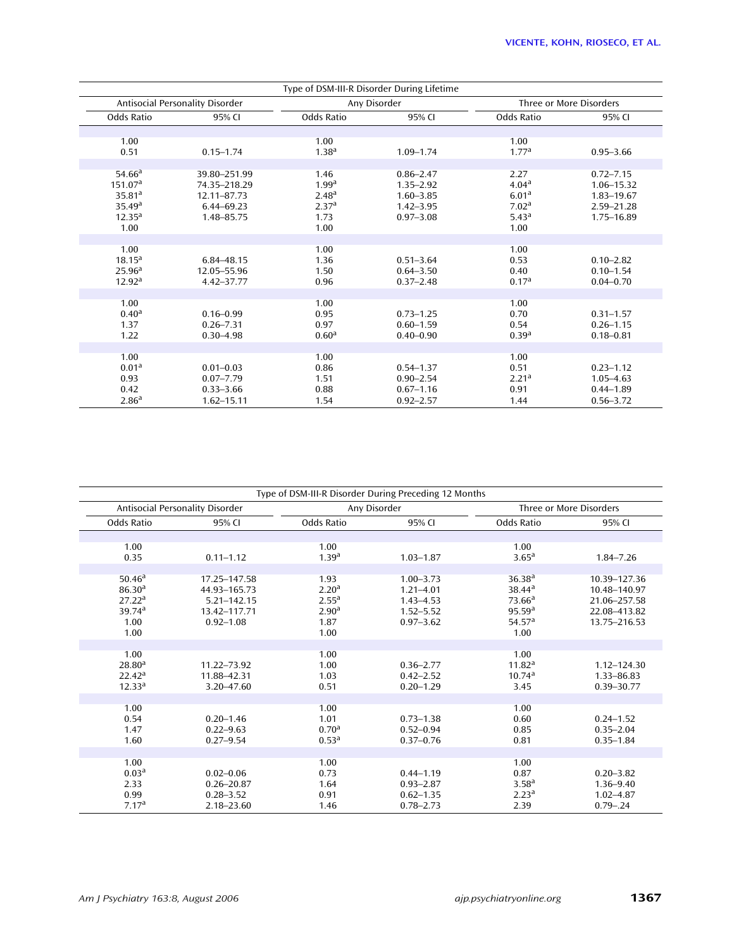| Type of DSM-III-R Disorder During Lifetime                                                              |                                                                         |                                                                                     |                                                                                   |                                                                                                  |                                                                       |  |  |  |  |  |
|---------------------------------------------------------------------------------------------------------|-------------------------------------------------------------------------|-------------------------------------------------------------------------------------|-----------------------------------------------------------------------------------|--------------------------------------------------------------------------------------------------|-----------------------------------------------------------------------|--|--|--|--|--|
|                                                                                                         | Antisocial Personality Disorder                                         |                                                                                     | Any Disorder                                                                      |                                                                                                  | Three or More Disorders                                               |  |  |  |  |  |
| Odds Ratio                                                                                              | 95% CI                                                                  | Odds Ratio                                                                          | 95% CI                                                                            | Odds Ratio                                                                                       | 95% CI                                                                |  |  |  |  |  |
|                                                                                                         |                                                                         |                                                                                     |                                                                                   |                                                                                                  |                                                                       |  |  |  |  |  |
| 1.00                                                                                                    |                                                                         | 1.00                                                                                |                                                                                   | 1.00<br>1.77 <sup>a</sup>                                                                        |                                                                       |  |  |  |  |  |
| 0.51                                                                                                    | $0.15 - 1.74$                                                           | 1.38 <sup>a</sup>                                                                   | $1.09 - 1.74$                                                                     |                                                                                                  | $0.95 - 3.66$                                                         |  |  |  |  |  |
| 54.66 <sup>a</sup><br>151.07 <sup>a</sup><br>35.81 <sup>a</sup><br>35.49a<br>12.35 <sup>a</sup><br>1.00 | 39.80-251.99<br>74.35-218.29<br>12.11-87.73<br>6.44-69.23<br>1.48-85.75 | 1.46<br>1.99 <sup>a</sup><br>2.48 <sup>a</sup><br>2.37 <sup>a</sup><br>1.73<br>1.00 | $0.86 - 2.47$<br>$1.35 - 2.92$<br>$1.60 - 3.85$<br>$1.42 - 3.95$<br>$0.97 - 3.08$ | 2.27<br>4.04 <sup>a</sup><br>6.01 <sup>a</sup><br>7.02 <sup>a</sup><br>5.43 <sup>a</sup><br>1.00 | $0.72 - 7.15$<br>1.06-15.32<br>1.83-19.67<br>2.59-21.28<br>1.75-16.89 |  |  |  |  |  |
|                                                                                                         |                                                                         |                                                                                     |                                                                                   |                                                                                                  |                                                                       |  |  |  |  |  |
| 1.00<br>18.15 <sup>a</sup><br>25.96 <sup>a</sup><br>12.92 <sup>a</sup>                                  | 6.84-48.15<br>12.05-55.96<br>4.42-37.77                                 | 1.00<br>1.36<br>1.50<br>0.96                                                        | $0.51 - 3.64$<br>$0.64 - 3.50$<br>$0.37 - 2.48$                                   | 1.00<br>0.53<br>0.40<br>0.17 <sup>a</sup>                                                        | $0.10 - 2.82$<br>$0.10 - 1.54$<br>$0.04 - 0.70$                       |  |  |  |  |  |
|                                                                                                         |                                                                         |                                                                                     |                                                                                   |                                                                                                  |                                                                       |  |  |  |  |  |
| 1.00<br>0.40 <sup>a</sup><br>1.37<br>1.22                                                               | $0.16 - 0.99$<br>$0.26 - 7.31$<br>$0.30 - 4.98$                         | 1.00<br>0.95<br>0.97<br>0.60 <sup>a</sup>                                           | $0.73 - 1.25$<br>$0.60 - 1.59$<br>$0.40 - 0.90$                                   | 1.00<br>0.70<br>0.54<br>0.39 <sup>a</sup>                                                        | $0.31 - 1.57$<br>$0.26 - 1.15$<br>$0.18 - 0.81$                       |  |  |  |  |  |
|                                                                                                         |                                                                         |                                                                                     |                                                                                   |                                                                                                  |                                                                       |  |  |  |  |  |
| 1.00<br>0.01 <sup>a</sup><br>0.93<br>0.42<br>2.86 <sup>a</sup>                                          | $0.01 - 0.03$<br>$0.07 - 7.79$<br>$0.33 - 3.66$<br>$1.62 - 15.11$       | 1.00<br>0.86<br>1.51<br>0.88<br>1.54                                                | $0.54 - 1.37$<br>$0.90 - 2.54$<br>$0.67 - 1.16$<br>$0.92 - 2.57$                  | 1.00<br>0.51<br>2.21 <sup>a</sup><br>0.91<br>1.44                                                | $0.23 - 1.12$<br>$1.05 - 4.63$<br>$0.44 - 1.89$<br>$0.56 - 3.72$      |  |  |  |  |  |

| Type of DSM-III-R Disorder During Preceding 12 Months           |                                                                |                                                        |                                                                  |                                                                |                                                                 |  |  |  |  |  |  |
|-----------------------------------------------------------------|----------------------------------------------------------------|--------------------------------------------------------|------------------------------------------------------------------|----------------------------------------------------------------|-----------------------------------------------------------------|--|--|--|--|--|--|
|                                                                 | Antisocial Personality Disorder                                |                                                        | Any Disorder                                                     |                                                                | Three or More Disorders                                         |  |  |  |  |  |  |
| <b>Odds Ratio</b>                                               | 95% CI                                                         | <b>Odds Ratio</b>                                      | 95% CI                                                           | Odds Ratio                                                     | 95% CI                                                          |  |  |  |  |  |  |
|                                                                 |                                                                |                                                        |                                                                  |                                                                |                                                                 |  |  |  |  |  |  |
| 1.00                                                            |                                                                | 1.00                                                   |                                                                  | 1.00                                                           |                                                                 |  |  |  |  |  |  |
| 0.35                                                            | $0.11 - 1.12$                                                  | 1.39 <sup>a</sup>                                      | $1.03 - 1.87$                                                    | $3.65^{\rm a}$                                                 | $1.84 - 7.26$                                                   |  |  |  |  |  |  |
| 50.46 <sup>a</sup><br>$86.30^{a}$                               | 17.25-147.58<br>44.93-165.73                                   | 1.93<br>2.20 <sup>a</sup>                              | $1.00 - 3.73$<br>$1.21 - 4.01$                                   | $36.38^{a}$<br>$38.44^{\circ}$                                 | 10.39-127.36<br>10.48-140.97                                    |  |  |  |  |  |  |
| 27.22 <sup>a</sup>                                              | 5.21-142.15                                                    | 2.55 <sup>a</sup>                                      | $1.43 - 4.53$                                                    | $73.66^a$                                                      | 21.06-257.58                                                    |  |  |  |  |  |  |
| 39.74 <sup>a</sup>                                              | 13.42-117.71                                                   | 2.90 <sup>a</sup>                                      | $1.52 - 5.52$                                                    | 95.59 <sup>a</sup>                                             | 22.08-413.82                                                    |  |  |  |  |  |  |
| 1.00                                                            | $0.92 - 1.08$                                                  | 1.87                                                   | $0.97 - 3.62$                                                    | 54.57 <sup>a</sup>                                             | 13.75-216.53                                                    |  |  |  |  |  |  |
| 1.00                                                            |                                                                | 1.00                                                   |                                                                  | 1.00                                                           |                                                                 |  |  |  |  |  |  |
|                                                                 |                                                                |                                                        |                                                                  |                                                                |                                                                 |  |  |  |  |  |  |
| 1.00<br>$28.80^{a}$<br>22.42 <sup>a</sup><br>12.33 <sup>a</sup> | 11.22-73.92<br>11.88-42.31<br>3.20-47.60                       | 1.00<br>1.00<br>1.03<br>0.51                           | $0.36 - 2.77$<br>$0.42 - 2.52$<br>$0.20 - 1.29$                  | 1.00<br>11.82 <sup>a</sup><br>10.74 <sup>a</sup><br>3.45       | 1.12-124.30<br>1.33-86.83<br>$0.39 - 30.77$                     |  |  |  |  |  |  |
|                                                                 |                                                                |                                                        |                                                                  |                                                                |                                                                 |  |  |  |  |  |  |
| 1.00<br>0.54<br>1.47<br>1.60                                    | $0.20 - 1.46$<br>$0.22 - 9.63$<br>$0.27 - 9.54$                | 1.00<br>1.01<br>0.70 <sup>a</sup><br>0.53 <sup>a</sup> | $0.73 - 1.38$<br>$0.52 - 0.94$<br>$0.37 - 0.76$                  | 1.00<br>0.60<br>0.85<br>0.81                                   | $0.24 - 1.52$<br>$0.35 - 2.04$<br>$0.35 - 1.84$                 |  |  |  |  |  |  |
|                                                                 |                                                                |                                                        |                                                                  |                                                                |                                                                 |  |  |  |  |  |  |
| 1.00<br>0.03 <sup>a</sup><br>2.33<br>0.99<br>7.17 <sup>a</sup>  | $0.02 - 0.06$<br>$0.26 - 20.87$<br>$0.28 - 3.52$<br>2.18-23.60 | 1.00<br>0.73<br>1.64<br>0.91<br>1.46                   | $0.44 - 1.19$<br>$0.93 - 2.87$<br>$0.62 - 1.35$<br>$0.78 - 2.73$ | 1.00<br>0.87<br>3.58 <sup>a</sup><br>2.23 <sup>a</sup><br>2.39 | $0.20 - 3.82$<br>$1.36 - 9.40$<br>$1.02 - 4.87$<br>$0.79 - .24$ |  |  |  |  |  |  |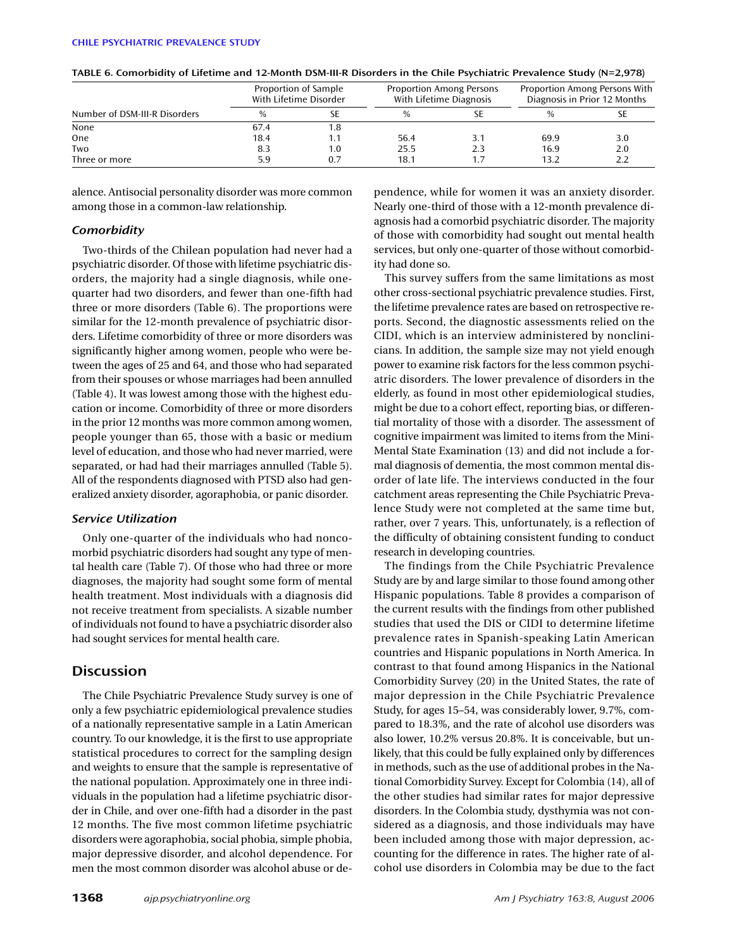|                               |               | Proportion of Sample<br>With Lifetime Disorder |               | <b>Proportion Among Persons</b><br>With Lifetime Diagnosis | Proportion Among Persons With<br>Diagnosis in Prior 12 Months |     |
|-------------------------------|---------------|------------------------------------------------|---------------|------------------------------------------------------------|---------------------------------------------------------------|-----|
| Number of DSM-III-R Disorders | $\frac{0}{0}$ |                                                | $\frac{0}{0}$ |                                                            | $\frac{0}{0}$                                                 |     |
| None                          | 67.4          | 1.8                                            |               |                                                            |                                                               |     |
| One                           | 18.4          |                                                | 56.4          | 3.1                                                        | 69.9                                                          | 3.0 |
| Two                           | 8.3           | 1.0                                            | 25.5          | 2.3                                                        | 16.9                                                          | 2.0 |
| Three or more                 | 5.9           | በ 7                                            | 18.1          | 1.7                                                        | 13.2                                                          | 2.2 |

| TABLE 6. Comorbidity of Lifetime and 12-Month DSM-III-R Disorders in the Chile Psychiatric Prevalence Study (N=2,978) |  |
|-----------------------------------------------------------------------------------------------------------------------|--|
|-----------------------------------------------------------------------------------------------------------------------|--|

alence. Antisocial personality disorder was more common among those in a common-law relationship.

#### *Comorbidity*

Two-thirds of the Chilean population had never had a psychiatric disorder. Of those with lifetime psychiatric disorders, the majority had a single diagnosis, while onequarter had two disorders, and fewer than one-fifth had three or more disorders (Table 6). The proportions were similar for the 12-month prevalence of psychiatric disorders. Lifetime comorbidity of three or more disorders was significantly higher among women, people who were between the ages of 25 and 64, and those who had separated from their spouses or whose marriages had been annulled (Table 4). It was lowest among those with the highest education or income. Comorbidity of three or more disorders in the prior 12 months was more common among women, people younger than 65, those with a basic or medium level of education, and those who had never married, were separated, or had had their marriages annulled (Table 5). All of the respondents diagnosed with PTSD also had generalized anxiety disorder, agoraphobia, or panic disorder.

#### *Service Utilization*

Only one-quarter of the individuals who had noncomorbid psychiatric disorders had sought any type of mental health care (Table 7). Of those who had three or more diagnoses, the majority had sought some form of mental health treatment. Most individuals with a diagnosis did not receive treatment from specialists. A sizable number of individuals not found to have a psychiatric disorder also had sought services for mental health care.

# **Discussion**

The Chile Psychiatric Prevalence Study survey is one of only a few psychiatric epidemiological prevalence studies of a nationally representative sample in a Latin American country. To our knowledge, it is the first to use appropriate statistical procedures to correct for the sampling design and weights to ensure that the sample is representative of the national population. Approximately one in three individuals in the population had a lifetime psychiatric disorder in Chile, and over one-fifth had a disorder in the past 12 months. The five most common lifetime psychiatric disorders were agoraphobia, social phobia, simple phobia, major depressive disorder, and alcohol dependence. For men the most common disorder was alcohol abuse or de-

pendence, while for women it was an anxiety disorder. Nearly one-third of those with a 12-month prevalence diagnosis had a comorbid psychiatric disorder. The majority of those with comorbidity had sought out mental health services, but only one-quarter of those without comorbidity had done so.

This survey suffers from the same limitations as most other cross-sectional psychiatric prevalence studies. First, the lifetime prevalence rates are based on retrospective reports. Second, the diagnostic assessments relied on the CIDI, which is an interview administered by nonclinicians. In addition, the sample size may not yield enough power to examine risk factors for the less common psychiatric disorders. The lower prevalence of disorders in the elderly, as found in most other epidemiological studies, might be due to a cohort effect, reporting bias, or differential mortality of those with a disorder. The assessment of cognitive impairment was limited to items from the Mini-Mental State Examination (13) and did not include a formal diagnosis of dementia, the most common mental disorder of late life. The interviews conducted in the four catchment areas representing the Chile Psychiatric Prevalence Study were not completed at the same time but, rather, over 7 years. This, unfortunately, is a reflection of the difficulty of obtaining consistent funding to conduct research in developing countries.

The findings from the Chile Psychiatric Prevalence Study are by and large similar to those found among other Hispanic populations. Table 8 provides a comparison of the current results with the findings from other published studies that used the DIS or CIDI to determine lifetime prevalence rates in Spanish-speaking Latin American countries and Hispanic populations in North America. In contrast to that found among Hispanics in the National Comorbidity Survey (20) in the United States, the rate of major depression in the Chile Psychiatric Prevalence Study, for ages 15–54, was considerably lower, 9.7%, compared to 18.3%, and the rate of alcohol use disorders was also lower, 10.2% versus 20.8%. It is conceivable, but unlikely, that this could be fully explained only by differences in methods, such as the use of additional probes in the National Comorbidity Survey. Except for Colombia (14), all of the other studies had similar rates for major depressive disorders. In the Colombia study, dysthymia was not considered as a diagnosis, and those individuals may have been included among those with major depression, accounting for the difference in rates. The higher rate of alcohol use disorders in Colombia may be due to the fact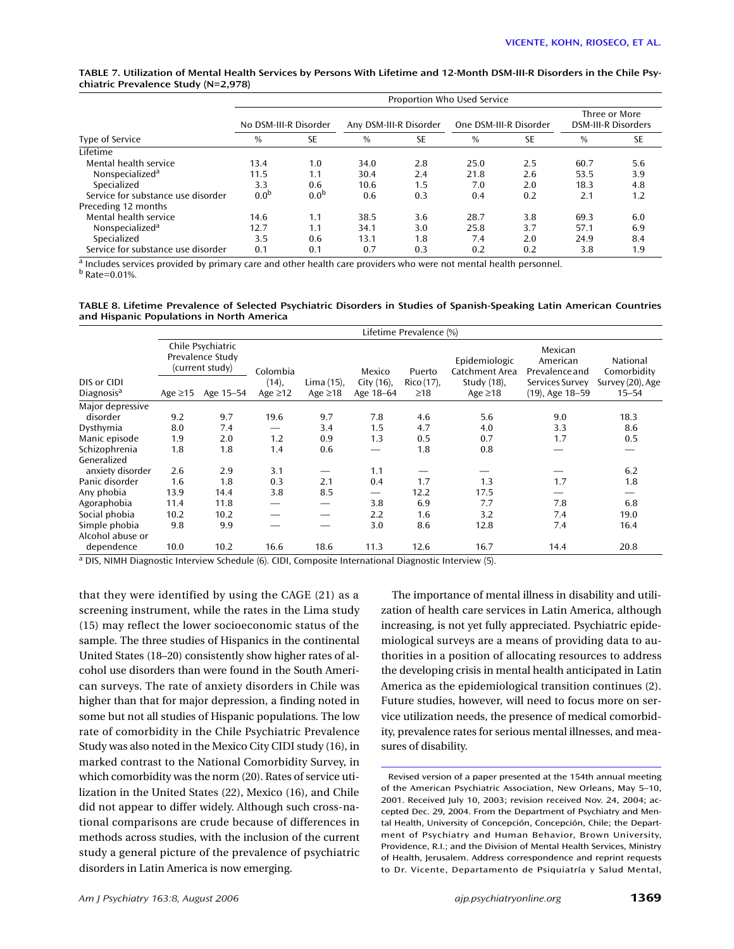|                                     |  |  | TABLE 7. Utilization of Mental Health Services by Persons With Lifetime and 12-Month DSM-III-R Disorders in the Chile Psy- |  |
|-------------------------------------|--|--|----------------------------------------------------------------------------------------------------------------------------|--|
| chiatric Prevalence Study (N=2,978) |  |  |                                                                                                                            |  |

|                                    |                       | Proportion Who Used Service |                        |     |                        |           |                                             |           |  |  |  |
|------------------------------------|-----------------------|-----------------------------|------------------------|-----|------------------------|-----------|---------------------------------------------|-----------|--|--|--|
|                                    | No DSM-III-R Disorder |                             | Any DSM-III-R Disorder |     | One DSM-III-R Disorder |           | Three or More<br><b>DSM-III-R Disorders</b> |           |  |  |  |
| Type of Service                    | $\frac{0}{0}$         | SE                          | $\frac{0}{0}$          | SE  | $\frac{0}{0}$          | <b>SE</b> | $\frac{0}{0}$                               | <b>SE</b> |  |  |  |
| Lifetime                           |                       |                             |                        |     |                        |           |                                             |           |  |  |  |
| Mental health service              | 13.4                  | 1.0                         | 34.0                   | 2.8 | 25.0                   | 2.5       | 60.7                                        | 5.6       |  |  |  |
| Nonspecialized <sup>a</sup>        | 11.5                  | 1.1                         | 30.4                   | 2.4 | 21.8                   | 2.6       | 53.5                                        | 3.9       |  |  |  |
| Specialized                        | 3.3                   | 0.6                         | 10.6                   | 1.5 | 7.0                    | 2.0       | 18.3                                        | 4.8       |  |  |  |
| Service for substance use disorder | 0.0 <sup>b</sup>      | 0.0 <sup>b</sup>            | 0.6                    | 0.3 | 0.4                    | 0.2       | 2.1                                         | 1.2       |  |  |  |
| Preceding 12 months                |                       |                             |                        |     |                        |           |                                             |           |  |  |  |
| Mental health service              | 14.6                  | 1.1                         | 38.5                   | 3.6 | 28.7                   | 3.8       | 69.3                                        | 6.0       |  |  |  |
| Nonspecialized <sup>a</sup>        | 12.7                  | 1.1                         | 34.1                   | 3.0 | 25.8                   | 3.7       | 57.1                                        | 6.9       |  |  |  |
| Specialized                        | 3.5                   | 0.6                         | 13.1                   | 1.8 | 7.4                    | 2.0       | 24.9                                        | 8.4       |  |  |  |
| Service for substance use disorder | 0.1                   | 0.1                         | 0.7                    | 0.3 | 0.2                    | 0.2       | 3.8                                         | 1.9       |  |  |  |

 $\frac{a}{b}$  Includes services provided by primary care and other health care providers who were not mental health personnel.

<sup>b</sup> Rate=0.01%.

**TABLE 8. Lifetime Prevalence of Selected Psychiatric Disorders in Studies of Spanish-Speaking Latin American Countries and Hispanic Populations in North America**

|                                       | Lifetime Prevalence (%)                                  |           |                        |                             |                            |                         |                                 |                                       |                               |
|---------------------------------------|----------------------------------------------------------|-----------|------------------------|-----------------------------|----------------------------|-------------------------|---------------------------------|---------------------------------------|-------------------------------|
|                                       | Chile Psychiatric<br>Prevalence Study<br>(current study) |           | Colombia               |                             | Mexico                     | Puerto                  | Epidemiologic<br>Catchment Area | Mexican<br>American<br>Prevalence and | National<br>Comorbidity       |
| DIS or CIDI<br>Diagnosis <sup>a</sup> | Age $\geq$ 15                                            | Age 15–54 | (14),<br>Age $\geq$ 12 | Lima (15),<br>Age $\geq$ 18 | City $(16)$ ,<br>Age 18-64 | Rico (17),<br>$\geq$ 18 | Study (18),<br>Age $\geq$ 18    | Services Survey<br>(19), Age 18-59    | Survey (20), Age<br>$15 - 54$ |
| Major depressive<br>disorder          | 9.2                                                      | 9.7       | 19.6                   | 9.7                         | 7.8                        | 4.6                     | 5.6                             | 9.0                                   | 18.3                          |
| Dysthymia                             | 8.0                                                      | 7.4       |                        | 3.4                         | 1.5                        | 4.7                     | 4.0                             | 3.3                                   | 8.6                           |
| Manic episode                         | 1.9                                                      | 2.0       | 1.2                    | 0.9                         | 1.3                        | 0.5                     | 0.7                             | 1.7                                   | 0.5                           |
| Schizophrenia<br>Generalized          | 1.8                                                      | 1.8       | 1.4                    | 0.6                         | —                          | 1.8                     | 0.8                             |                                       |                               |
| anxiety disorder                      | 2.6                                                      | 2.9       | 3.1                    |                             | 1.1                        |                         |                                 |                                       | 6.2                           |
| Panic disorder                        | 1.6                                                      | 1.8       | 0.3                    | 2.1                         | 0.4                        | 1.7                     | 1.3                             | 1.7                                   | 1.8                           |
| Any phobia                            | 13.9                                                     | 14.4      | 3.8                    | 8.5                         | $\overline{\phantom{m}}$   | 12.2                    | 17.5                            |                                       |                               |
| Agoraphobia                           | 11.4                                                     | 11.8      |                        |                             | 3.8                        | 6.9                     | 7.7                             | 7.8                                   | 6.8                           |
| Social phobia                         | 10.2                                                     | 10.2      |                        |                             | 2.2                        | 1.6                     | 3.2                             | 7.4                                   | 19.0                          |
| Simple phobia<br>Alcohol abuse or     | 9.8                                                      | 9.9       |                        |                             | 3.0                        | 8.6                     | 12.8                            | 7.4                                   | 16.4                          |
| dependence                            | 10.0                                                     | 10.2      | 16.6                   | 18.6                        | 11.3                       | 12.6                    | 16.7                            | 14.4                                  | 20.8                          |

<sup>a</sup> DIS, NIMH Diagnostic Interview Schedule (6). CIDI, Composite International Diagnostic Interview (5).

that they were identified by using the CAGE (21) as a screening instrument, while the rates in the Lima study (15) may reflect the lower socioeconomic status of the sample. The three studies of Hispanics in the continental United States (18–20) consistently show higher rates of alcohol use disorders than were found in the South American surveys. The rate of anxiety disorders in Chile was higher than that for major depression, a finding noted in some but not all studies of Hispanic populations. The low rate of comorbidity in the Chile Psychiatric Prevalence Study was also noted in the Mexico City CIDI study (16), in marked contrast to the National Comorbidity Survey, in which comorbidity was the norm (20). Rates of service utilization in the United States (22), Mexico (16), and Chile did not appear to differ widely. Although such cross-national comparisons are crude because of differences in methods across studies, with the inclusion of the current study a general picture of the prevalence of psychiatric disorders in Latin America is now emerging.

The importance of mental illness in disability and utilization of health care services in Latin America, although increasing, is not yet fully appreciated. Psychiatric epidemiological surveys are a means of providing data to authorities in a position of allocating resources to address the developing crisis in mental health anticipated in Latin America as the epidemiological transition continues (2). Future studies, however, will need to focus more on service utilization needs, the presence of medical comorbidity, prevalence rates for serious mental illnesses, and measures of disability.

Revised version of a paper presented at the 154th annual meeting of the American Psychiatric Association, New Orleans, May 5–10, 2001. Received July 10, 2003; revision received Nov. 24, 2004; accepted Dec. 29, 2004. From the Department of Psychiatry and Mental Health, University of Concepción, Concepción, Chile; the Department of Psychiatry and Human Behavior, Brown University, Providence, R.I.; and the Division of Mental Health Services, Ministry of Health, Jerusalem. Address correspondence and reprint requests to Dr. Vicente, Departamento de Psiquiatría y Salud Mental,